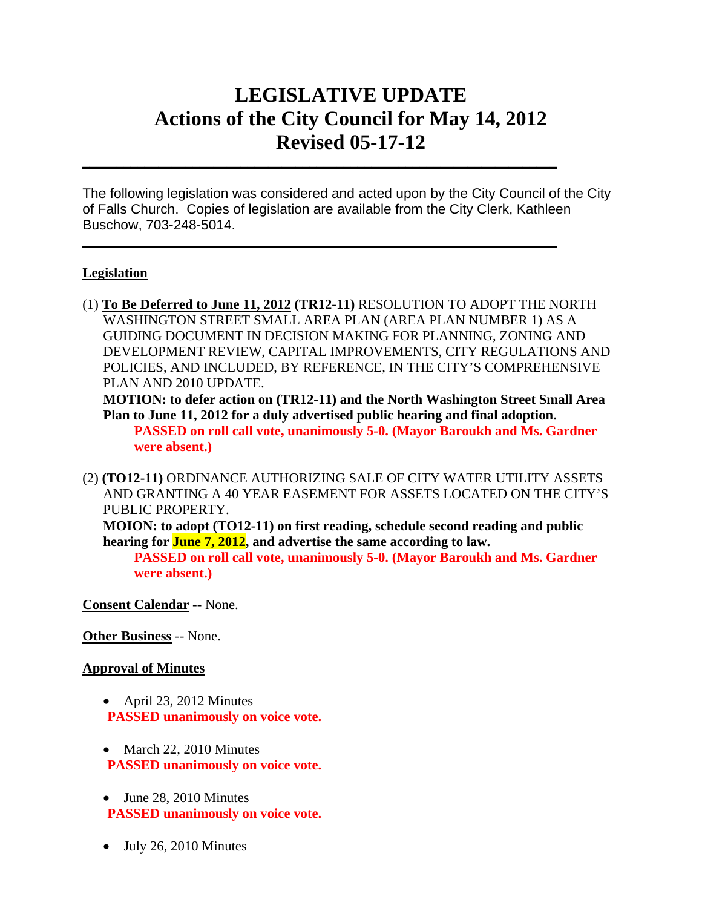# **LEGISLATIVE UPDATE Actions of the City Council for May 14, 2012 Revised 05-17-12**

The following legislation was considered and acted upon by the City Council of the City of Falls Church. Copies of legislation are available from the City Clerk, Kathleen Buschow, 703-248-5014.

 $\mathcal{L}_\text{max} = \mathcal{L}_\text{max} = \mathcal{L}_\text{max} = \mathcal{L}_\text{max} = \mathcal{L}_\text{max} = \mathcal{L}_\text{max} = \mathcal{L}_\text{max} = \mathcal{L}_\text{max} = \mathcal{L}_\text{max} = \mathcal{L}_\text{max} = \mathcal{L}_\text{max} = \mathcal{L}_\text{max} = \mathcal{L}_\text{max} = \mathcal{L}_\text{max} = \mathcal{L}_\text{max} = \mathcal{L}_\text{max} = \mathcal{L}_\text{max} = \mathcal{L}_\text{max} = \mathcal{$ 

 $\mathcal{L}_\text{max} = \mathcal{L}_\text{max} = \mathcal{L}_\text{max} = \mathcal{L}_\text{max} = \mathcal{L}_\text{max} = \mathcal{L}_\text{max} = \mathcal{L}_\text{max} = \mathcal{L}_\text{max} = \mathcal{L}_\text{max} = \mathcal{L}_\text{max} = \mathcal{L}_\text{max} = \mathcal{L}_\text{max} = \mathcal{L}_\text{max} = \mathcal{L}_\text{max} = \mathcal{L}_\text{max} = \mathcal{L}_\text{max} = \mathcal{L}_\text{max} = \mathcal{L}_\text{max} = \mathcal{$ 

#### **Legislation**

(1) **To Be Deferred to June 11, 2012 (TR12-11)** RESOLUTION TO ADOPT THE NORTH WASHINGTON STREET SMALL AREA PLAN (AREA PLAN NUMBER 1) AS A GUIDING DOCUMENT IN DECISION MAKING FOR PLANNING, ZONING AND DEVELOPMENT REVIEW, CAPITAL IMPROVEMENTS, CITY REGULATIONS AND POLICIES, AND INCLUDED, BY REFERENCE, IN THE CITY'S COMPREHENSIVE PLAN AND 2010 UPDATE.

**MOTION: to defer action on (TR12-11) and the North Washington Street Small Area Plan to June 11, 2012 for a duly advertised public hearing and final adoption. PASSED on roll call vote, unanimously 5-0. (Mayor Baroukh and Ms. Gardner were absent.)**

(2) **(TO12-11)** ORDINANCE AUTHORIZING SALE OF CITY WATER UTILITY ASSETS AND GRANTING A 40 YEAR EASEMENT FOR ASSETS LOCATED ON THE CITY'S PUBLIC PROPERTY.

**MOION: to adopt (TO12-11) on first reading, schedule second reading and public hearing for June 7, 2012, and advertise the same according to law.** 

**PASSED on roll call vote, unanimously 5-0. (Mayor Baroukh and Ms. Gardner were absent.)** 

**Consent Calendar** -- None.

**Other Business** -- None.

#### **Approval of Minutes**

- April 23, 2012 Minutes **PASSED unanimously on voice vote.**
- March 22, 2010 Minutes **PASSED unanimously on voice vote.**
- June 28, 2010 Minutes **PASSED unanimously on voice vote.**
- $\bullet$  July 26, 2010 Minutes